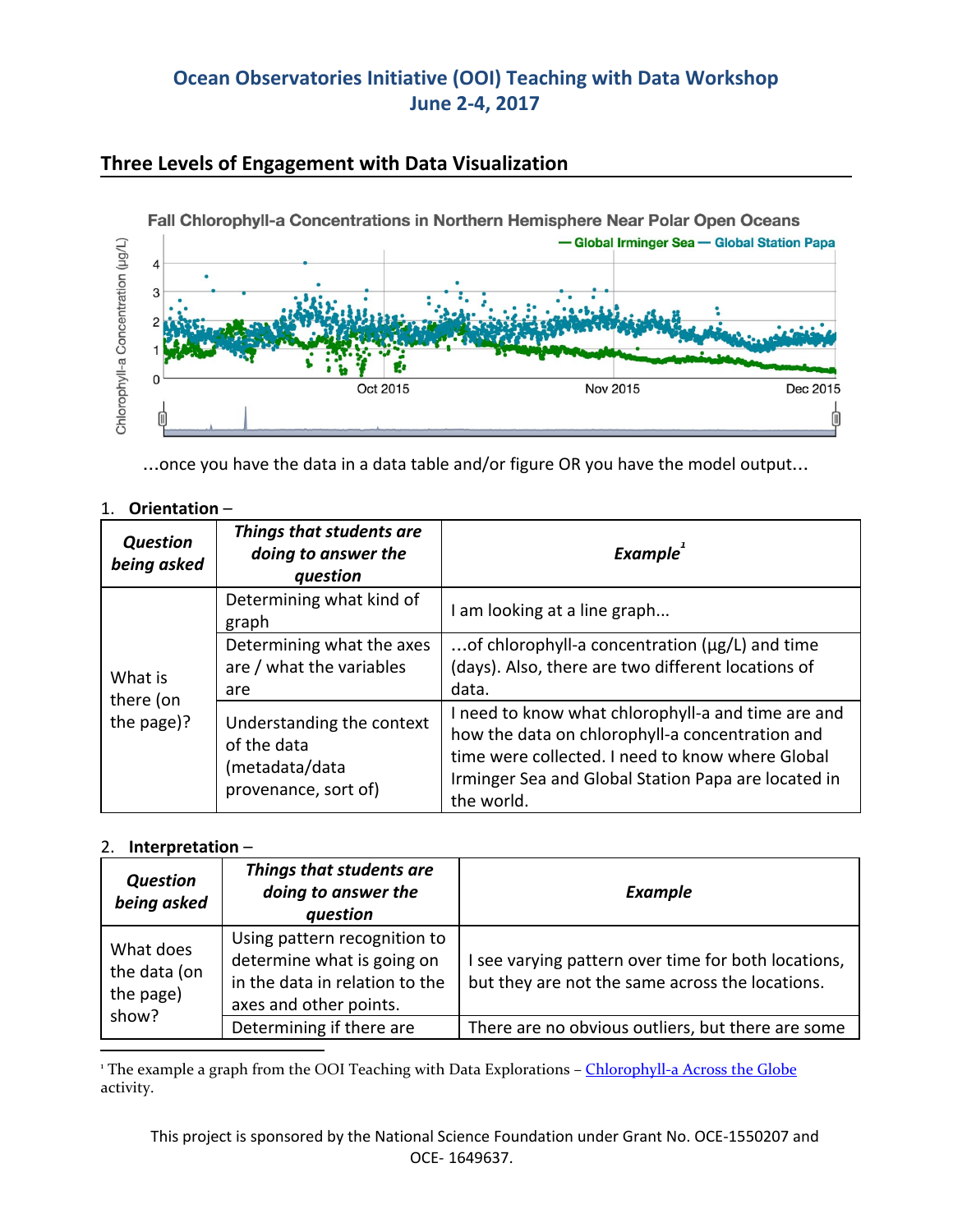# **Ocean Observatories Initiative (OOI) Teaching with Data Workshop June 2-4, 2017**



### **Three Levels of Engagement with Data Visualization**

…once you have the data in a data table and/or figure OR you have the model output…

| Orientation- |
|--------------|
|              |

| <b>Question</b><br>being asked     | Things that students are<br>doing to answer the<br>question                        | <b>Example</b>                                                                                                                                                                                                                 |
|------------------------------------|------------------------------------------------------------------------------------|--------------------------------------------------------------------------------------------------------------------------------------------------------------------------------------------------------------------------------|
| What is<br>there (on<br>the page)? | Determining what kind of<br>graph                                                  | I am looking at a line graph                                                                                                                                                                                                   |
|                                    | Determining what the axes<br>are / what the variables<br>are                       | of chlorophyll-a concentration ( $\mu$ g/L) and time<br>(days). Also, there are two different locations of<br>data.                                                                                                            |
|                                    | Understanding the context<br>of the data<br>(metadata/data<br>provenance, sort of) | I need to know what chlorophyll-a and time are and<br>how the data on chlorophyll-a concentration and<br>time were collected. I need to know where Global<br>Irminger Sea and Global Station Papa are located in<br>the world. |

#### 2. **Interpretation** –

| <b>Question</b><br>being asked                  | Things that students are<br>doing to answer the<br>question                                                            | <b>Example</b>                                                                                         |
|-------------------------------------------------|------------------------------------------------------------------------------------------------------------------------|--------------------------------------------------------------------------------------------------------|
| What does<br>the data (on<br>the page)<br>show? | Using pattern recognition to<br>determine what is going on<br>in the data in relation to the<br>axes and other points. | I see varying pattern over time for both locations,<br>but they are not the same across the locations. |
|                                                 | Determining if there are                                                                                               | There are no obvious outliers, but there are some                                                      |

<sup>1</sup> The example a graph from the OOI Teaching with Data Explorations – [Chlorophyll-a](http://explorations.visualocean.net/productivity/activity3.php) Across the Globe activity.

This project is sponsored by the National Science Foundation under Grant No. OCE-1550207 and OCE- 1649637.